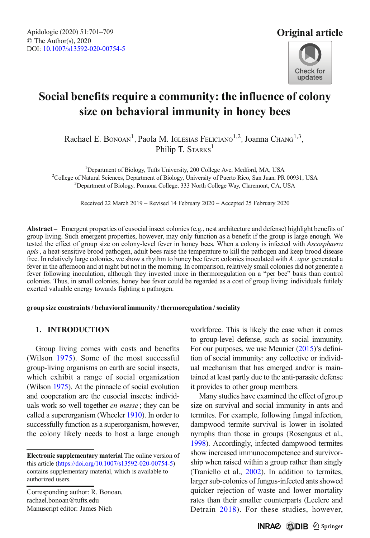

# Social benefits require a community: the influence of colony size on behavioral immunity in honey bees

Rachael E. Bonoan<sup>1</sup>, Paola M. Iglesias Feliciano<sup>1,2</sup>, Joanna Chang<sup>1,3</sup>, Philip T. STARKS<sup>1</sup>

<sup>1</sup>Department of Biology, Tufts University, 200 College Ave, Medford, MA, USA Department of Biology, Tufts University, 200 College Ave, Medford, MA, USA<sup>2</sup>College of Natural Sciences. Department of Biology, University of Puerto Rico, San Juan. PR College of Natural Sciences, Department of Biology, University of Puerto Rico, San Juan, PR 00931, USA<br><sup>3</sup> Department of Biology, Pomona College, 333 North College Way, Claremont, CA, USA <sup>3</sup>Department of Biology, Pomona College, 333 North College Way, Claremont, CA, USA

Received 22 March 2019 – Revised 14 February 2020 – Accepted 25 February 2020

Abstract – Emergent properties of eusocial insect colonies (e.g., nest architecture and defense) highlight benefits of group living. Such emergent properties, however, may only function as a benefit if the group is large enough. We tested the effect of group size on colony-level fever in honey bees. When a colony is infected with Ascosphaera apis, a heat-sensitive brood pathogen, adult bees raise the temperature to kill the pathogen and keep brood disease free. In relatively large colonies, we show a rhythm to honey bee fever: colonies inoculated with  $A$  . apis generated a fever in the afternoon and at night but not in the morning. In comparison, relatively small colonies did not generate a fever following inoculation, although they invested more in thermoregulation on a "per bee" basis than control colonies. Thus, in small colonies, honey bee fever could be regarded as a cost of group living: individuals futilely exerted valuable energy towards fighting a pathogen.

#### group size constraints / behavioral immunity / thermoregulation / sociality

# 1. INTRODUCTION

Group living comes with costs and benefits (Wilson [1975\)](#page-8-0). Some of the most successful group-living organisms on earth are social insects, which exhibit a range of social organization (Wilson [1975](#page-8-0)). At the pinnacle of social evolution and cooperation are the eusocial insects: individuals work so well together *en masse*; they can be called a superorganism (Wheeler [1910\)](#page-8-0). In order to successfully function as a superorganism, however, the colony likely needs to host a large enough

Corresponding author: R. Bonoan, rachael.bonoan@tufts.edu Manuscript editor: James Nieh

workforce. This is likely the case when it comes to group-level defense, such as social immunity. For our purposes, we use Meunier ([2015\)](#page-8-0)'s definition of social immunity: any collective or individual mechanism that has emerged and/or is maintained at least partly due to the anti-parasite defense it provides to other group members.

Many studies have examined the effect of group size on survival and social immunity in ants and termites. For example, following fungal infection, dampwood termite survival is lower in isolated nymphs than those in groups (Rosengaus et al., [1998](#page-8-0)). Accordingly, infected dampwood termites show increased immunocompetence and survivorship when raised within a group rather than singly (Traniello et al., [2002](#page-8-0)). In addition to termites, larger sub-colonies of fungus-infected ants showed quicker rejection of waste and lower mortality rates than their smaller counterparts (Leclerc and Detrain [2018](#page-8-0)). For these studies, however,

Electronic supplementary material The online version of this article [\(https://doi.org/10.1007/s13592-020-00754-5\)](http://dx.doi.org/http://creativecommons.org/licenses/by/4.0/) contains supplementary material, which is available to authorized users.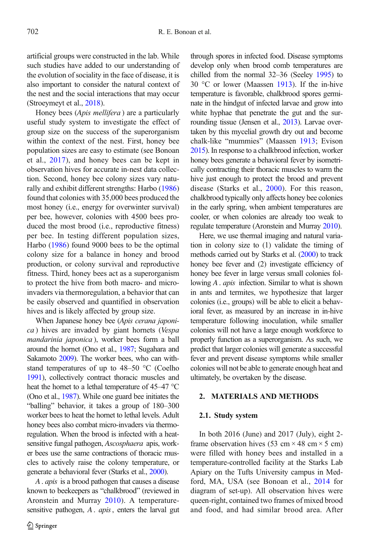artificial groups were constructed in the lab. While such studies have added to our understanding of the evolution of sociality in the face of disease, it is also important to consider the natural context of the nest and the social interactions that may occur (Stroeymeyt et al., [2018](#page-8-0)).

Honey bees (Apis mellifera ) are a particularly useful study system to investigate the effect of group size on the success of the superorganism within the context of the nest. First, honey bee population sizes are easy to estimate (see Bonoan et al., [2017](#page-8-0)), and honey bees can be kept in observation hives for accurate in-nest data collection. Second, honey bee colony sizes vary naturally and exhibit different strengths: Harbo [\(1986\)](#page-8-0) found that colonies with 35,000 bees produced the most honey (i.e., energy for overwinter survival) per bee, however, colonies with 4500 bees produced the most brood (i.e., reproductive fitness) per bee. In testing different population sizes, Harbo ([1986](#page-8-0)) found 9000 bees to be the optimal colony size for a balance in honey and brood production, or colony survival and reproductive fitness. Third, honey bees act as a superorganism to protect the hive from both macro- and microinvaders via thermoregulation, a behavior that can be easily observed and quantified in observation hives and is likely affected by group size.

When Japanese honey bee (Apis cerana japonica ) hives are invaded by giant hornets (Vespa mandarinia japonica ), worker bees form a ball around the hornet (Ono et al., [1987;](#page-8-0) Sugahara and Sakamoto [2009](#page-8-0)). The worker bees, who can withstand temperatures of up to 48–50 °C (Coelho [1991](#page-8-0)), collectively contract thoracic muscles and heat the hornet to a lethal temperature of 45–47 °C (Ono et al., [1987\)](#page-8-0). While one guard bee initiates the "balling" behavior, it takes a group of 180–300 worker bees to heat the hornet to lethal levels. Adult honey bees also combat micro-invaders via thermoregulation. When the brood is infected with a heatsensitive fungal pathogen, Ascosphaera apis, worker bees use the same contractions of thoracic muscles to actively raise the colony temperature, or generate a behavioral fever (Starks et al., [2000\)](#page-8-0).

A. apis is a brood pathogen that causes a disease known to beekeepers as "chalkbrood" (reviewed in Aronstein and Murray [2010](#page-8-0)). A temperaturesensitive pathogen, A. apis, enters the larval gut through spores in infected food. Disease symptoms develop only when brood comb temperatures are chilled from the normal 32–36 (Seeley [1995\)](#page-8-0) to 30 °C or lower (Maassen [1913\)](#page-8-0). If the in-hive temperature is favorable, chalkbrood spores germinate in the hindgut of infected larvae and grow into white hyphae that penetrate the gut and the surrounding tissue (Jensen et al., [2013](#page-8-0)). Larvae overtaken by this mycelial growth dry out and become chalk-like "mummies" (Maassen [1913](#page-8-0); Evison [2015\)](#page-8-0). In response to a chalkbrood infection, worker honey bees generate a behavioral fever by isometrically contracting their thoracic muscles to warm the hive just enough to protect the brood and prevent disease (Starks et al., [2000\)](#page-8-0). For this reason, chalkbrood typically only affects honey bee colonies in the early spring, when ambient temperatures are cooler, or when colonies are already too weak to regulate temperature (Aronstein and Murray [2010](#page-8-0)).

Here, we use thermal imaging and natural variation in colony size to (1) validate the timing of methods carried out by Starks et al. [\(2000](#page-8-0)) to track honey bee fever and (2) investigate efficiency of honey bee fever in large versus small colonies following A. apis infection. Similar to what is shown in ants and termites, we hypothesize that larger colonies (i.e., groups) will be able to elicit a behavioral fever, as measured by an increase in in-hive temperature following inoculation, while smaller colonies will not have a large enough workforce to properly function as a superorganism. As such, we predict that larger colonies will generate a successful fever and prevent disease symptoms while smaller colonies will not be able to generate enough heat and ultimately, be overtaken by the disease.

#### 2. MATERIALS AND METHODS

#### 2.1. Study system

In both 2016 (June) and 2017 (July), eight 2 frame observation hives  $(53 \text{ cm} \times 48 \text{ cm} \times 5 \text{ cm})$ were filled with honey bees and installed in a temperature-controlled facility at the Starks Lab Apiary on the Tufts University campus in Medford, MA, USA (see Bonoan et al., [2014](#page-8-0) for diagram of set-up). All observation hives were queen-right, contained two frames of mixed brood and food, and had similar brood area. After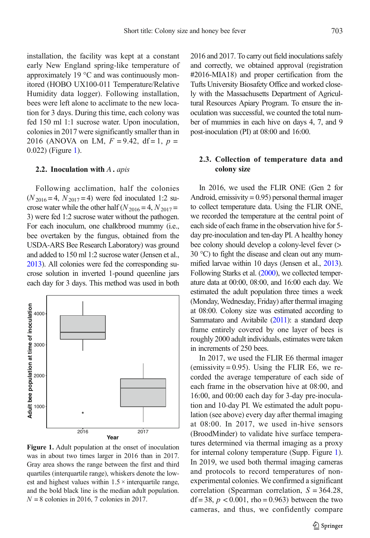<span id="page-2-0"></span>installation, the facility was kept at a constant early New England spring-like temperature of approximately 19 °C and was continuously monitored (HOBO UX100-011 Temperature/Relative Humidity data logger). Following installation, bees were left alone to acclimate to the new location for 3 days. During this time, each colony was fed 150 ml 1:1 sucrose water. Upon inoculation, colonies in 2017 were significantly smaller than in 2016 (ANOVA on LM,  $F = 9.42$ , df = 1,  $p =$ 0.022) (Figure 1).

### 2.2. Inoculation with  $A \cdot apis$

Following acclimation, half the colonies  $(N_{2016} = 4, N_{2017} = 4)$  were fed inoculated 1:2 sucrose water while the other half ( $N_{2016} = 4$ ,  $N_{2017} =$ 3) were fed 1:2 sucrose water without the pathogen. For each inoculum, one chalkbrood mummy (i.e., bee overtaken by the fungus, obtained from the USDA-ARS Bee Research Laboratory) was ground and added to 150 ml 1:2 sucrose water (Jensen et al., [2013\)](#page-8-0). All colonies were fed the corresponding sucrose solution in inverted 1-pound queenline jars each day for 3 days. This method was used in both



Figure 1. Adult population at the onset of inoculation was in about two times larger in 2016 than in 2017. Gray area shows the range between the first and third quartiles (interquartile range), whiskers denote the lowest and highest values within  $1.5 \times$  interquartile range, and the bold black line is the median adult population.  $N = 8$  colonies in 2016, 7 colonies in 2017.

2016 and 2017. To carry out field inoculations safely and correctly, we obtained approval (registration #2016-MIA18) and proper certification from the Tufts University Biosafety Office and worked closely with the Massachusetts Department of Agricultural Resources Apiary Program. To ensure the inoculation was successful, we counted the total number of mummies in each hive on days 4, 7, and 9 post-inoculation (PI) at 08:00 and 16:00.

# 2.3. Collection of temperature data and colony size

In 2016, we used the FLIR ONE (Gen 2 for Android, emissivity  $= 0.95$ ) personal thermal imager to collect temperature data. Using the FLIR ONE, we recorded the temperature at the central point of each side of each frame in the observation hive for 5 day pre-inoculation and ten-day PI. A healthy honey bee colony should develop a colony-level fever (> 30 °C) to fight the disease and clean out any mummified larvae within 10 days (Jensen et al., [2013](#page-8-0)). Following Starks et al. [\(2000\)](#page-8-0), we collected temperature data at 00:00, 08:00, and 16:00 each day. We estimated the adult population three times a week (Monday, Wednesday, Friday) after thermal imaging at 08:00. Colony size was estimated according to Sammataro and Avitabile [\(2011](#page-8-0)): a standard deep frame entirely covered by one layer of bees is roughly 2000 adult individuals, estimates were taken in increments of 250 bees.

In 2017, we used the FLIR E6 thermal imager (emissivity  $= 0.95$ ). Using the FLIR E6, we recorded the average temperature of each side of each frame in the observation hive at 08:00, and 16:00, and 00:00 each day for 3-day pre-inoculation and 10-day PI. We estimated the adult population (see above) every day after thermal imaging at 08:00. In 2017, we used in-hive sensors (BroodMinder) to validate hive surface temperatures determined via thermal imaging as a proxy for internal colony temperature (Supp. Figure 1). In 2019, we used both thermal imaging cameras and protocols to record temperatures of nonexperimental colonies. We confirmed a significant correlation (Spearman correlation,  $S = 364.28$ , df = 38,  $p < 0.001$ , rho = 0.963) between the two cameras, and thus, we confidently compare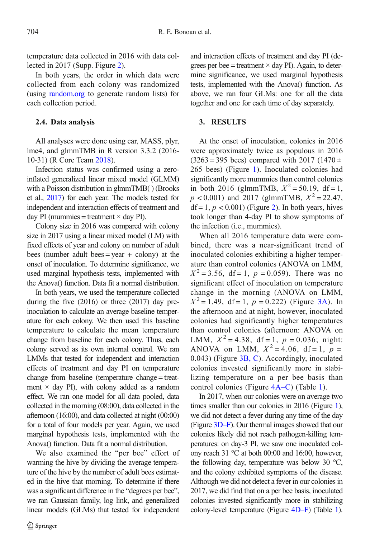temperature data collected in 2016 with data collected in 2017 (Supp. Figure 2).

In both years, the order in which data were collected from each colony was randomized (using [random.org](http://random.org) to generate random lists) for each collection period.

# 2.4. Data analysis

All analyses were done using car, MASS, plyr, lme4, and glmmTMB in R version 3.3.2 (2016- 10-31) (R Core Team [2018](#page-8-0)).

Infection status was confirmed using a zeroinflated generalized linear mixed model (GLMM) with a Poisson distribution in glmmTMB( ) (Brooks et al., [2017](#page-8-0)) for each year. The models tested for independent and interaction effects of treatment and day PI (mummies = treatment  $\times$  day PI).

Colony size in 2016 was compared with colony size in 2017 using a linear mixed model (LM) with fixed effects of year and colony on number of adult bees (number adult bees = year + colony) at the onset of inoculation. To determine significance, we used marginal hypothesis tests, implemented with the Anova() function. Data fit a normal distribution.

In both years, we used the temperature collected during the five (2016) or three (2017) day preinoculation to calculate an average baseline temperature for each colony. We then used this baseline temperature to calculate the mean temperature change from baseline for each colony. Thus, each colony served as its own internal control. We ran LMMs that tested for independent and interaction effects of treatment and day PI on temperature change from baseline (temperature change = treatment  $\times$  day PI), with colony added as a random effect. We ran one model for all data pooled, data collected in the morning (08:00), data collected in the afternoon (16:00), and data collected at night (00:00) for a total of four models per year. Again, we used marginal hypothesis tests, implemented with the Anova() function. Data fit a normal distribution.

We also examined the "per bee" effort of warming the hive by dividing the average temperature of the hive by the number of adult bees estimated in the hive that morning. To determine if there was a significant difference in the "degrees per bee", we ran Gaussian family, log link, and generalized linear models (GLMs) that tested for independent and interaction effects of treatment and day PI (degrees per bee = treatment  $\times$  day PI). Again, to determine significance, we used marginal hypothesis tests, implemented with the Anova() function. As above, we ran four GLMs: one for all the data together and one for each time of day separately.

# 3. RESULTS

At the onset of inoculation, colonies in 2016 were approximately twice as populous in 2016  $(3263 \pm 395 \text{ bees})$  compared with  $2017$  (1470 ± 265 bees) (Figure [1\)](#page-2-0). Inoculated colonies had significantly more mummies than control colonies in both 2016 (glmmTMB,  $X^2 = 50.19$ , df = 1,  $p < 0.001$ ) and 2017 (glmmTMB,  $X^2 = 22.47$ ,  $df = 1, p < 0.001$ ) (Figure [2\)](#page-4-0). In both years, hives took longer than 4-day PI to show symptoms of the infection (i.e., mummies).

When all 2016 temperature data were combined, there was a near-significant trend of inoculated colonies exhibiting a higher temperature than control colonies (ANOVA on LMM,  $X^2 = 3.56$ , df = 1, p = 0.059). There was no significant effect of inoculation on temperature change in the morning (ANOVA on LMM,  $X^2 = 1.49$ , df = 1, p = 0.222) (Figure [3A](#page-5-0)). In the afternoon and at night, however, inoculated colonies had significantly higher temperatures than control colonies (afternoon: ANOVA on LMM,  $X^2 = 4.38$ , df = 1,  $p = 0.036$ ; night: ANOVA on LMM,  $X^2 = 4.06$ , df = 1, p = 0.043) (Figure [3B, C](#page-5-0)). Accordingly, inoculated colonies invested significantly more in stabilizing temperature on a per bee basis than control colonies (Figure [4A](#page-6-0)–C) (Table [1](#page-7-0)).

In 2017, when our colonies were on average two times smaller than our colonies in 2016 (Figure [1](#page-2-0)), we did not detect a fever during any time of the day (Figure [3D](#page-5-0)–F). Our thermal images showed that our colonies likely did not reach pathogen-killing temperatures: on day-3 PI, we saw one inoculated colony reach 31 °C at both 00:00 and 16:00, however, the following day, temperature was below 30 °C, and the colony exhibited symptoms of the disease. Although we did not detect a fever in our colonies in 2017, we did find that on a per bee basis, inoculated colonies invested significantly more in stabilizing colony-level temperature (Figure [4D](#page-6-0)–F) (Table [1](#page-7-0)).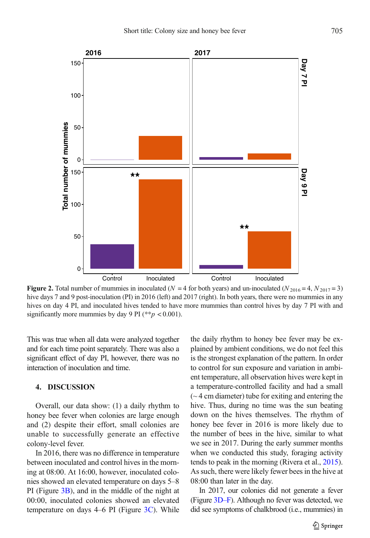<span id="page-4-0"></span>

Figure 2. Total number of mummies in inoculated ( $N = 4$  for both years) and un-inoculated ( $N_{2016} = 4$ ,  $N_{2017} = 3$ ) hive days 7 and 9 post-inoculation (PI) in 2016 (left) and 2017 (right). In both years, there were no mummies in any hives on day 4 PI, and inoculated hives tended to have more mummies than control hives by day 7 PI with and significantly more mummies by day 9 PI (\*\* $p < 0.001$ ).

This was true when all data were analyzed together and for each time point separately. There was also a significant effect of day PI, however, there was no interaction of inoculation and time.

# 4. DISCUSSION

Overall, our data show: (1) a daily rhythm to honey bee fever when colonies are large enough and (2) despite their effort, small colonies are unable to successfully generate an effective colony-level fever.

In 2016, there was no difference in temperature between inoculated and control hives in the morning at 08:00. At 16:00, however, inoculated colonies showed an elevated temperature on days 5–8 PI (Figure [3B\)](#page-5-0), and in the middle of the night at 00:00, inoculated colonies showed an elevated temperature on days  $4-6$  PI (Figure  $3C$ ). While the daily rhythm to honey bee fever may be explained by ambient conditions, we do not feel this is the strongest explanation of the pattern. In order to control for sun exposure and variation in ambient temperature, all observation hives were kept in a temperature-controlled facility and had a small  $(-4 \text{ cm diameter})$  tube for exiting and entering the hive. Thus, during no time was the sun beating down on the hives themselves. The rhythm of honey bee fever in 2016 is more likely due to the number of bees in the hive, similar to what we see in 2017. During the early summer months when we conducted this study, foraging activity tends to peak in the morning (Rivera et al., [2015](#page-8-0)). As such, there were likely fewer bees in the hive at 08:00 than later in the day.

In 2017, our colonies did not generate a fever (Figure [3D](#page-5-0)–F). Although no fever was detected, we did see symptoms of chalkbrood (i.e., mummies) in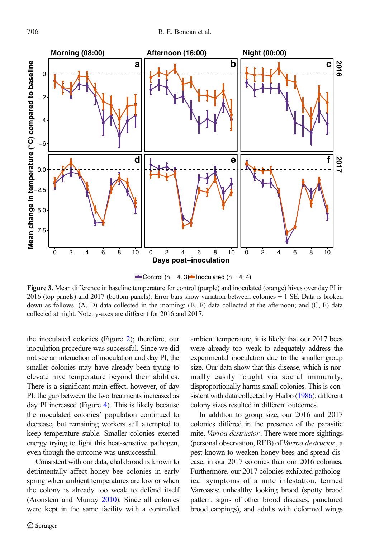<span id="page-5-0"></span>

Control (n = 4, 3) Inoculated (n = 4, 4)

Figure 3. Mean difference in baseline temperature for control (purple) and inoculated (orange) hives over day PI in 2016 (top panels) and 2017 (bottom panels). Error bars show variation between colonies  $\pm 1$  SE. Data is broken down as follows: (A, D) data collected in the morning; (B, E) data collected at the afternoon; and (C, F) data collected at night. Note: y-axes are different for 2016 and 2017.

the inoculated colonies (Figure [2](#page-4-0)); therefore, our inoculation procedure was successful. Since we did not see an interaction of inoculation and day PI, the smaller colonies may have already been trying to elevate hive temperature beyond their abilities. There is a significant main effect, however, of day PI: the gap between the two treatments increased as day PI increased (Figure [4](#page-6-0)). This is likely because the inoculated colonies' population continued to decrease, but remaining workers still attempted to keep temperature stable. Smaller colonies exerted energy trying to fight this heat-sensitive pathogen, even though the outcome was unsuccessful.

Consistent with our data, chalkbrood is known to detrimentally affect honey bee colonies in early spring when ambient temperatures are low or when the colony is already too weak to defend itself (Aronstein and Murray [2010\)](#page-8-0). Since all colonies were kept in the same facility with a controlled ambient temperature, it is likely that our 2017 bees were already too weak to adequately address the experimental inoculation due to the smaller group size. Our data show that this disease, which is normally easily fought via social immunity, disproportionally harms small colonies. This is consistent with data collected by Harbo [\(1986\)](#page-8-0): different colony sizes resulted in different outcomes.

In addition to group size, our 2016 and 2017 colonies differed in the presence of the parasitic mite, Varroa destructor. There were more sightings (personal observation, REB) of Varroa destructor, a pest known to weaken honey bees and spread disease, in our 2017 colonies than our 2016 colonies. Furthermore, our 2017 colonies exhibited pathological symptoms of a mite infestation, termed Varroasis: unhealthy looking brood (spotty brood pattern, signs of other brood diseases, punctured brood cappings), and adults with deformed wings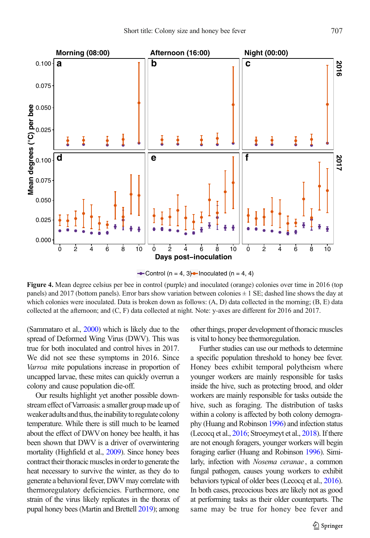<span id="page-6-0"></span>

• Control (n = 4, 3) • Inoculated (n = 4, 4)

Figure 4. Mean degree celsius per bee in control (purple) and inoculated (orange) colonies over time in 2016 (top panels) and 2017 (bottom panels). Error bars show variation between colonies  $\pm 1$  SE; dashed line shows the day at which colonies were inoculated. Data is broken down as follows:  $(A, D)$  data collected in the morning;  $(B, E)$  data collected at the afternoon; and (C, F) data collected at night. Note: y-axes are different for 2016 and 2017.

(Sammataro et al., [2000](#page-8-0)) which is likely due to the spread of Deformed Wing Virus (DWV). This was true for both inoculated and control hives in 2017. We did not see these symptoms in 2016. Since Varroa mite populations increase in proportion of uncapped larvae, these mites can quickly overrun a colony and cause population die-off.

Our results highlight yet another possible downstream effect of Varroasis: a smaller group made up of weaker adults and thus, the inability to regulate colony temperature. While there is still much to be learned about the effect of DWV on honey bee health, it has been shown that DWV is a driver of overwintering mortality (Highfield et al., [2009\)](#page-8-0). Since honey bees contract their thoracic muscles in order to generate the heat necessary to survive the winter, as they do to generate a behavioral fever, DWV may correlate with thermoregulatory deficiencies. Furthermore, one strain of the virus likely replicates in the thorax of pupal honey bees (Martin and Brettell [2019](#page-8-0)); among other things, proper development of thoracic muscles is vital to honey bee thermoregulation.

Further studies can use our methods to determine a specific population threshold to honey bee fever. Honey bees exhibit temporal polytheism where younger workers are mainly responsible for tasks inside the hive, such as protecting brood, and older workers are mainly responsible for tasks outside the hive, such as foraging. The distribution of tasks within a colony is affected by both colony demography (Huang and Robinson [1996](#page-8-0)) and infection status (Lecocq et al., [2016;](#page-8-0) Stroeymeyt et al., [2018\)](#page-8-0). If there are not enough foragers, younger workers will begin foraging earlier (Huang and Robinson [1996](#page-8-0)). Similarly, infection with Nosema ceranae , a common fungal pathogen, causes young workers to exhibit behaviors typical of older bees (Lecocq et al., [2016](#page-8-0)). In both cases, precocious bees are likely not as good at performing tasks as their older counterparts. The same may be true for honey bee fever and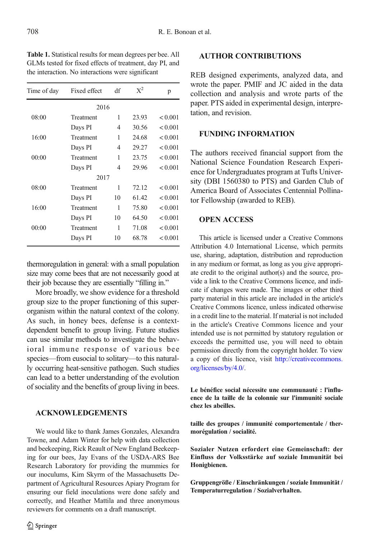<span id="page-7-0"></span>Table 1. Statistical results for mean degrees per bee. All GLMs tested for fixed effects of treatment, day PI, and the interaction. No interactions were significant

| Time of day | Fixed effect | df | $X^2$ | p       |
|-------------|--------------|----|-------|---------|
|             | 2016         |    |       |         |
| 08:00       | Treatment    | 1  | 23.93 | < 0.001 |
|             | Days PI      | 4  | 30.56 | < 0.001 |
| 16:00       | Treatment    | 1  | 24.68 | < 0.001 |
|             | Days PI      | 4  | 29.27 | < 0.001 |
| 00:00       | Treatment    | 1  | 23.75 | < 0.001 |
|             | Days PI      | 4  | 29.96 | < 0.001 |
|             | 2017         |    |       |         |
| 08:00       | Treatment    | 1  | 72.12 | < 0.001 |
|             | Days PI      | 10 | 61.42 | < 0.001 |
| 16:00       | Treatment    | 1  | 75.80 | < 0.001 |
|             | Days PI      | 10 | 64.50 | < 0.001 |
| 00:00       | Treatment    | 1  | 71.08 | < 0.001 |
|             | Days PI      | 10 | 68.78 | < 0.001 |
|             |              |    |       |         |

thermoregulation in general: with a small population size may come bees that are not necessarily good at their job because they are essentially "filling in."

More broadly, we show evidence for a threshold group size to the proper functioning of this superorganism within the natural context of the colony. As such, in honey bees, defense is a contextdependent benefit to group living. Future studies can use similar methods to investigate the behavioral immune response of various bee species—from eusocial to solitary—to this naturally occurring heat-sensitive pathogen. Such studies can lead to a better understanding of the evolution of sociality and the benefits of group living in bees.

## ACKNOWLEDGEMENTS

We would like to thank James Gonzales, Alexandra Towne, and Adam Winter for help with data collection and beekeeping, Rick Reault of New England Beekeeping for our bees, Jay Evans of the USDA-ARS Bee Research Laboratory for providing the mummies for our inoculums, Kim Skyrm of the Massachusetts Department of Agricultural Resources Apiary Program for ensuring our field inoculations were done safely and correctly, and Heather Mattila and three anonymous reviewers for comments on a draft manuscript.

## AUTHOR CONTRIBUTIONS

REB designed experiments, analyzed data, and wrote the paper. PMIF and JC aided in the data collection and analysis and wrote parts of the paper. PTS aided in experimental design, interpretation, and revision.

# FUNDING INFORMATION

The authors received financial support from the National Science Foundation Research Experience for Undergraduates program at Tufts University (DBI 1560380 to PTS) and Garden Club of America Board of Associates Centennial Pollinator Fellowship (awarded to REB).

# OPEN ACCESS

This article is licensed under a Creative Commons Attribution 4.0 International License, which permits use, sharing, adaptation, distribution and reproduction in any medium or format, as long as you give appropriate credit to the original author(s) and the source, provide a link to the Creative Commons licence, and indicate if changes were made. The images or other third party material in this article are included in the article's Creative Commons licence, unless indicated otherwise in a credit line to the material. If material is not included in the article's Creative Commons licence and your intended use is not permitted by statutory regulation or exceeds the permitted use, you will need to obtain permission directly from the copyright holder. To view a copy of this licence, visit [http://creativecommons.](http://dx.doi.org/http://creativecommons.org/licenses/by/4.0/) [org/licenses/by/4.0/.](http://dx.doi.org/http://creativecommons.org/licenses/by/4.0/)

Le bénéfice social nécessite une communauté : l'influence de la taille de la colonnie sur l'immunité sociale chez les abeilles.

taille des groupes / immunité comportementale / thermorégulation / socialité.

Sozialer Nutzen erfordert eine Gemeinschaft: der Einfluss der Volksstärke auf soziale Immunität bei Honigbienen.

Gruppengröße / Einschränkungen / soziale Immunität / Temperaturregulation / Sozialverhalten.